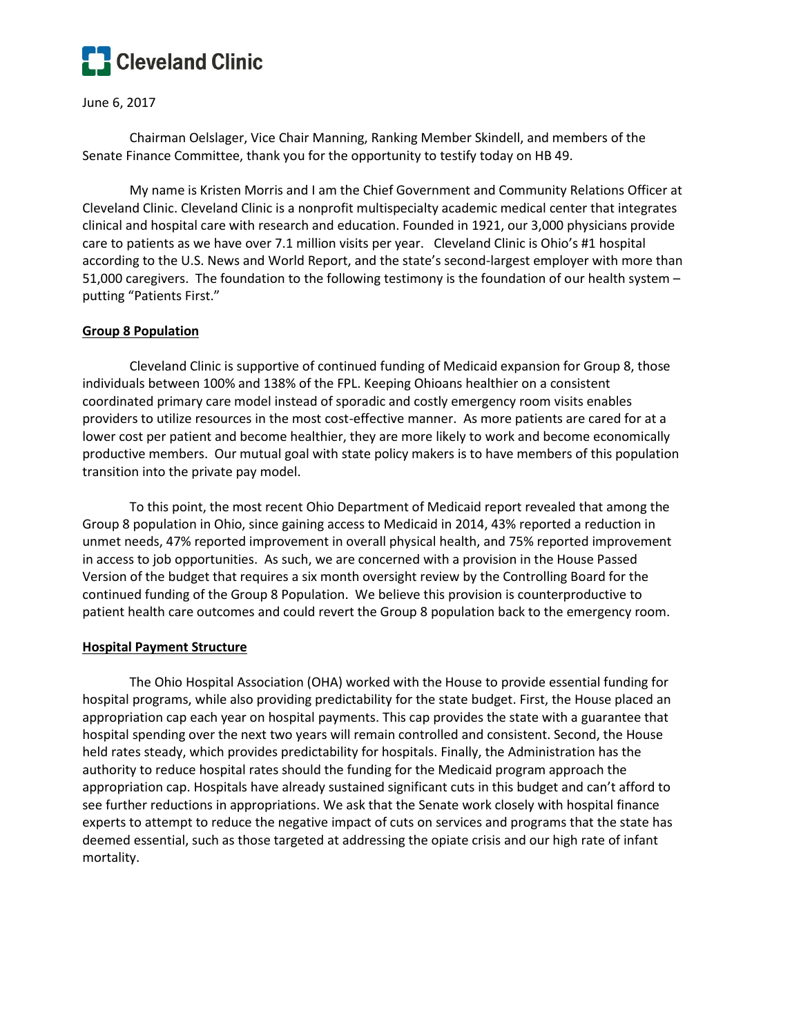

June 6, 2017

Chairman Oelslager, Vice Chair Manning, Ranking Member Skindell, and members of the Senate Finance Committee, thank you for the opportunity to testify today on HB 49.

My name is Kristen Morris and I am the Chief Government and Community Relations Officer at Cleveland Clinic. Cleveland Clinic is a nonprofit multispecialty academic medical center that integrates clinical and hospital care with research and education. Founded in 1921, our 3,000 physicians provide care to patients as we have over 7.1 million visits per year. Cleveland Clinic is Ohio's #1 hospital according to the U.S. News and World Report, and the state's second-largest employer with more than 51,000 caregivers. The foundation to the following testimony is the foundation of our health system – putting "Patients First."

## **Group 8 Population**

Cleveland Clinic is supportive of continued funding of Medicaid expansion for Group 8, those individuals between 100% and 138% of the FPL. Keeping Ohioans healthier on a consistent coordinated primary care model instead of sporadic and costly emergency room visits enables providers to utilize resources in the most cost-effective manner. As more patients are cared for at a lower cost per patient and become healthier, they are more likely to work and become economically productive members. Our mutual goal with state policy makers is to have members of this population transition into the private pay model.

To this point, the most recent Ohio Department of Medicaid report revealed that among the Group 8 population in Ohio, since gaining access to Medicaid in 2014, 43% reported a reduction in unmet needs, 47% reported improvement in overall physical health, and 75% reported improvement in access to job opportunities. As such, we are concerned with a provision in the House Passed Version of the budget that requires a six month oversight review by the Controlling Board for the continued funding of the Group 8 Population. We believe this provision is counterproductive to patient health care outcomes and could revert the Group 8 population back to the emergency room.

### **Hospital Payment Structure**

The Ohio Hospital Association (OHA) worked with the House to provide essential funding for hospital programs, while also providing predictability for the state budget. First, the House placed an appropriation cap each year on hospital payments. This cap provides the state with a guarantee that hospital spending over the next two years will remain controlled and consistent. Second, the House held rates steady, which provides predictability for hospitals. Finally, the Administration has the authority to reduce hospital rates should the funding for the Medicaid program approach the appropriation cap. Hospitals have already sustained significant cuts in this budget and can't afford to see further reductions in appropriations. We ask that the Senate work closely with hospital finance experts to attempt to reduce the negative impact of cuts on services and programs that the state has deemed essential, such as those targeted at addressing the opiate crisis and our high rate of infant mortality.